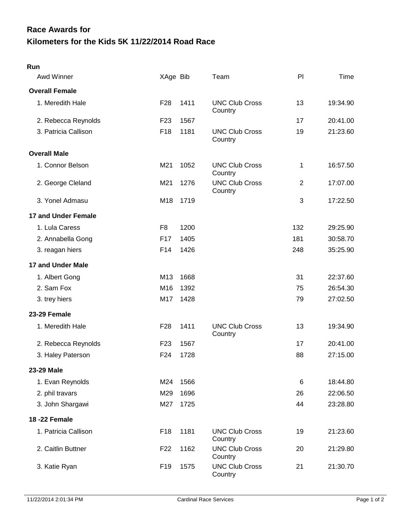## **Kilometers for the Kids 5K 11/22/2014 Road Race Race Awards for**

| Awd Winner                 | XAge Bib        |      | Team                             | PI             | Time     |
|----------------------------|-----------------|------|----------------------------------|----------------|----------|
| <b>Overall Female</b>      |                 |      |                                  |                |          |
| 1. Meredith Hale           | F <sub>28</sub> | 1411 | <b>UNC Club Cross</b><br>Country | 13             | 19:34.90 |
| 2. Rebecca Reynolds        | F <sub>23</sub> | 1567 |                                  | 17             | 20:41.00 |
| 3. Patricia Callison       | F <sub>18</sub> | 1181 | <b>UNC Club Cross</b><br>Country | 19             | 21:23.60 |
| <b>Overall Male</b>        |                 |      |                                  |                |          |
| 1. Connor Belson           | M21             | 1052 | <b>UNC Club Cross</b><br>Country | 1              | 16:57.50 |
| 2. George Cleland          | M21             | 1276 | <b>UNC Club Cross</b><br>Country | $\overline{2}$ | 17:07.00 |
| 3. Yonel Admasu            | M18             | 1719 |                                  | 3              | 17:22.50 |
| <b>17 and Under Female</b> |                 |      |                                  |                |          |
| 1. Lula Caress             | F <sub>8</sub>  | 1200 |                                  | 132            | 29:25.90 |
| 2. Annabella Gong          | F <sub>17</sub> | 1405 |                                  | 181            | 30:58.70 |
| 3. reagan hiers            | F14             | 1426 |                                  | 248            | 35:25.90 |
| <b>17 and Under Male</b>   |                 |      |                                  |                |          |
| 1. Albert Gong             | M13             | 1668 |                                  | 31             | 22:37.60 |
| 2. Sam Fox                 | M <sub>16</sub> | 1392 |                                  | 75             | 26:54.30 |
| 3. trey hiers              | M17             | 1428 |                                  | 79             | 27:02.50 |
| 23-29 Female               |                 |      |                                  |                |          |
| 1. Meredith Hale           | F <sub>28</sub> | 1411 | <b>UNC Club Cross</b><br>Country | 13             | 19:34.90 |
| 2. Rebecca Reynolds        | F <sub>23</sub> | 1567 |                                  | 17             | 20:41.00 |
| 3. Haley Paterson          | F24             | 1728 |                                  | 88             | 27:15.00 |
| 23-29 Male                 |                 |      |                                  |                |          |
| 1. Evan Reynolds           | M24             | 1566 |                                  | 6              | 18:44.80 |
| 2. phil travars            | M29             | 1696 |                                  | 26             | 22:06.50 |
| 3. John Shargawi           | M27             | 1725 |                                  | 44             | 23:28.80 |
| <b>18-22 Female</b>        |                 |      |                                  |                |          |
| 1. Patricia Callison       | F18             | 1181 | <b>UNC Club Cross</b><br>Country | 19             | 21:23.60 |
| 2. Caitlin Buttner         | F <sub>22</sub> | 1162 | <b>UNC Club Cross</b><br>Country | 20             | 21:29.80 |
| 3. Katie Ryan              | F <sub>19</sub> | 1575 | <b>UNC Club Cross</b><br>Country | 21             | 21:30.70 |